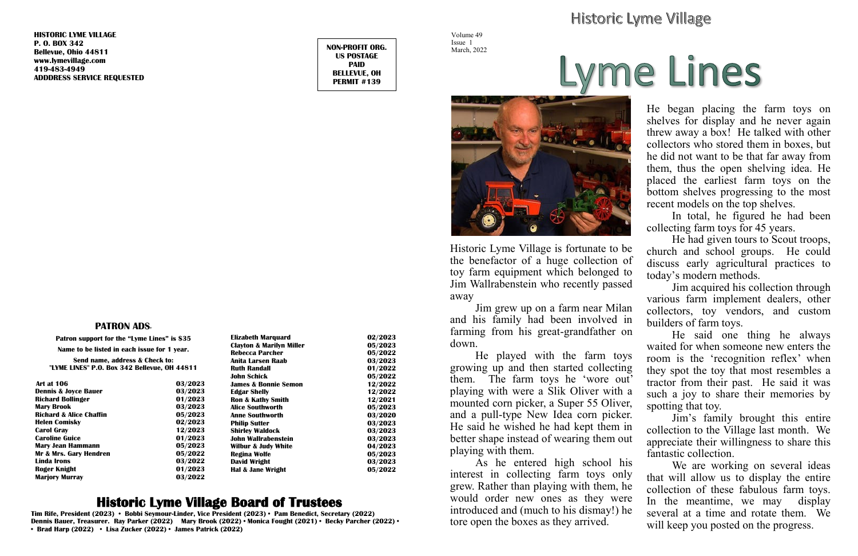#### **PATRON ADS<sup>+</sup>**

**Patron support for the "Lyme Lines" is \$35 Name to be listed in each issue for 1 year. Send name, address & Check to: "LYME LINES" P.O. Box 342 Bellevue, OH 44811**

| <b>Art at 106</b>                  | 03/2023 |
|------------------------------------|---------|
| <b>Dennis &amp; Joyce Bauer</b>    | 03/2023 |
| <b>Richard Bollinger</b>           | 01/2023 |
| <b>Mary Brook</b>                  | 03/2023 |
| <b>Richard &amp; Alice Chaffin</b> | 05/2023 |
| <b>Helen Comisky</b>               | 02/2023 |
| <b>Carol Gray</b>                  | 12/2023 |
| <b>Caroline Guice</b>              | 01/2023 |
| <b>Mary Jean Hammann</b>           | 05/2023 |
| Mr & Mrs. Gary Hendren             | 05/2022 |
| Linda Irons                        | 03/2022 |
| Roger Knight                       | 01/2023 |
| <b>Marjory Murray</b>              | 03/2022 |

# **Historic Lyme Village Board of Trustees**

**Tim Rife, President (2023) • Bobbi Seymour-Linder, Vice President (2023) • Pam Benedict, Secretary (2022) Dennis Bauer, Treasurer. Ray Parker (2022) Mary Brook (2022) • Monica Fought (2021) • Becky Parcher (2022) • • Brad Harp (2022) • Lisa Zucker (2022) • James Patrick (2022)**

# Historic Lyme Village

**HISTORIC LYME VILLAGE P. O. BOX 342 Bellevue, Ohio 44811 [www.lymevillage.com](http://www.lymevillage.com/) 419-483-4949 ADDDRESS SERVICE REQUESTED**

**NON-PROFIT ORG. US POSTAGE PAID BELLEVUE, OH PERMIT #139**

> As he entered high school his interest in collecting farm toys only grew. Rather than playing with them, he would order new ones as they were introduced and (much to his dismay!) he tore open the boxes as they arrived. We are working on several ideas that will allow us to display the entire collection of these fabulous farm toys. In the meantime, we may display several at a time and rotate them. We will keep you posted on the progress.

| <b>Elizabeth Marquard</b>           | 02/2023 |
|-------------------------------------|---------|
| <b>Clayton &amp; Marilyn Miller</b> | 05/2023 |
| <b>Rebecca Parcher</b>              | 05/2022 |
| Anita I arsen Raab                  | 03/2023 |
| <b>Ruth Randall</b>                 | 01/2022 |
| John Schick                         | 05/2022 |
| James & Bonnie Semon                | 12/2022 |
| <b>Edgar Shelly</b>                 | 12/2022 |
| <b>Ron &amp; Kathy Smith</b>        | 12/2021 |
| Alice Southworth                    | 05/2023 |
| Anne Southworth                     | 03/2020 |
| <b>Philip Sutter</b>                | 03/2023 |
| <b>Shirley Waldock</b>              | 03/2023 |
| John Wallrabenstein                 | 03/2023 |
| <b>Wilbur &amp; Judy White</b>      | 04/2023 |
| Regina Wolfe                        | 05/2023 |
| David Wright                        | 03/2023 |
| Hal & Jane Wright                   | 05/2022 |
|                                     |         |

Volume 49 Issue 1 March, 2022



Historic Lyme Village is fortunate to be the benefactor of a huge collection of toy farm equipment which belonged to Jim Wallrabenstein who recently passed away

Jim grew up on a farm near Milan and his family had been involved in farming from his great-grandfather on down.

He played with the farm toys growing up and then started collecting them. The farm toys he 'wore out' playing with were a Slik Oliver with a mounted corn picker, a Super 55 Oliver, and a pull-type New Idea corn picker. He said he wished he had kept them in better shape instead of wearing them out playing with them.

He began placing the farm toys on shelves for display and he never again threw away a box! He talked with other collectors who stored them in boxes, but he did not want to be that far away from them, thus the open shelving idea. He placed the earliest farm toys on the bottom shelves progressing to the most recent models on the top shelves.

In total, he figured he had been collecting farm toys for 45 years.

He had given tours to Scout troops, church and school groups. He could discuss early agricultural practices to today's modern methods.

Jim acquired his collection through various farm implement dealers, other collectors, toy vendors, and custom builders of farm toys.

He said one thing he always waited for when someone new enters the room is the 'recognition reflex' when they spot the toy that most resembles a tractor from their past. He said it was such a joy to share their memories by spotting that toy.

Jim's family brought this entire collection to the Village last month. We appreciate their willingness to share this fantastic collection.